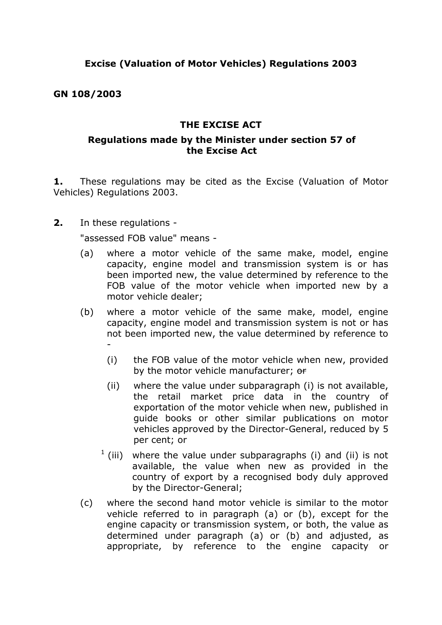## **GN 108/2003**

## **THE EXCISE ACT**

## **Regulations made by the Minister under section 57 of the Excise Act**

**1.** These regulations may be cited as the Excise (Valuation of Motor Vehicles) Regulations 2003.

**2.** In these regulations -

"assessed FOB value" means -

- (a) where a motor vehicle of the same make, model, engine capacity, engine model and transmission system is or has been imported new, the value determined by reference to the FOB value of the motor vehicle when imported new by a motor vehicle dealer;
- (b) where a motor vehicle of the same make, model, engine capacity, engine model and transmission system is not or has not been imported new, the value determined by reference to -
	- (i) the FOB value of the motor vehicle when new, provided by the motor vehicle manufacturer; or
	- (ii) where the value under subparagraph (i) is not available, the retail market price data in the country of exportation of the motor vehicle when new, published in guide books or other similar publications on motor vehicles approved by the Director-General, reduced by 5 per cent; or
	- $1$  (iii) where the value under subparagraphs (i) and (ii) is not available, the value when new as provided in the country of export by a recognised body duly approved by the Director-General;
- (c) where the second hand motor vehicle is similar to the motor vehicle referred to in paragraph (a) or (b), except for the engine capacity or transmission system, or both, the value as determined under paragraph (a) or (b) and adjusted, as appropriate, by reference to the engine capacity or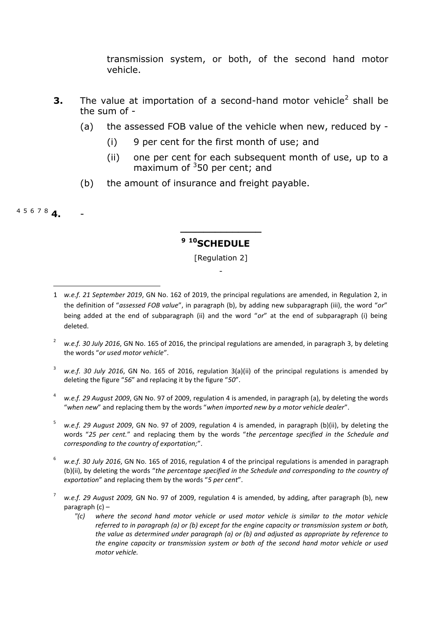transmission system, or both, of the second hand motor vehicle.

- **3.** The value at importation of a second-hand motor vehicle<sup>2</sup> shall be the sum of -
	- (a) the assessed FOB value of the vehicle when new, reduced by
		- (i) 9 per cent for the first month of use; and
		- (ii) one per cent for each subsequent month of use, up to a maximum of  $350$  per cent; and
	- (b) the amount of insurance and freight payable.

<sup>4</sup> <sup>5</sup> <sup>6</sup> <sup>7</sup> <sup>8</sup> **4.** -

**.** 

# **<sup>9</sup> <sup>10</sup>SCHEDULE**

**\_\_\_\_\_\_\_\_\_\_\_\_\_\_**

[Regulation 2] -

- <sup>2</sup> *w.e.f. 30 July 2016*, GN No. 165 of 2016, the principal regulations are amended, in paragraph 3, by deleting the words "*or used motor vehicle*".
- <sup>3</sup> *w.e.f. 30 July 2016*, GN No. 165 of 2016, regulation 3(a)(ii) of the principal regulations is amended by deleting the figure "*56*" and replacing it by the figure "*50*".
- <sup>4</sup> *w.e.f. 29 August 2009*, GN No. 97 of 2009, regulation 4 is amended, in paragraph (a), by deleting the words "*when new*" and replacing them by the words "*when imported new by a motor vehicle dealer*".
- <sup>5</sup> *w.e.f. 29 August 2009*, GN No. 97 of 2009, regulation 4 is amended, in paragraph (b)(ii), by deleting the words "*25 per cent.*" and replacing them by the words "*the percentage specified in the Schedule and corresponding to the country of exportation;*".
- <sup>6</sup> *w.e.f. 30 July 2016*, GN No. 165 of 2016, regulation 4 of the principal regulations is amended in paragraph (b)(ii), by deleting the words "*the percentage specified in the Schedule and corresponding to the country of exportation*" and replacing them by the words "*5 per cent*".
- <sup>7</sup> *w.e.f. 29 August 2009,* GN No. 97 of 2009, regulation 4 is amended, by adding, after paragraph (b), new paragraph (c) –
	- *"(c) where the second hand motor vehicle or used motor vehicle is similar to the motor vehicle referred to in paragraph (a) or (b) except for the engine capacity or transmission system or both, the value as determined under paragraph (a) or (b) and adjusted as appropriate by reference to the engine capacity or transmission system or both of the second hand motor vehicle or used motor vehicle.*

<sup>1</sup> *w.e.f. 21 September 2019*, GN No. 162 of 2019, the principal regulations are amended, in Regulation 2, in the definition of "*assessed FOB value*", in paragraph (b), by adding new subparagraph (iii), the word "*or*" being added at the end of subparagraph (ii) and the word "*or*" at the end of subparagraph (i) being deleted.